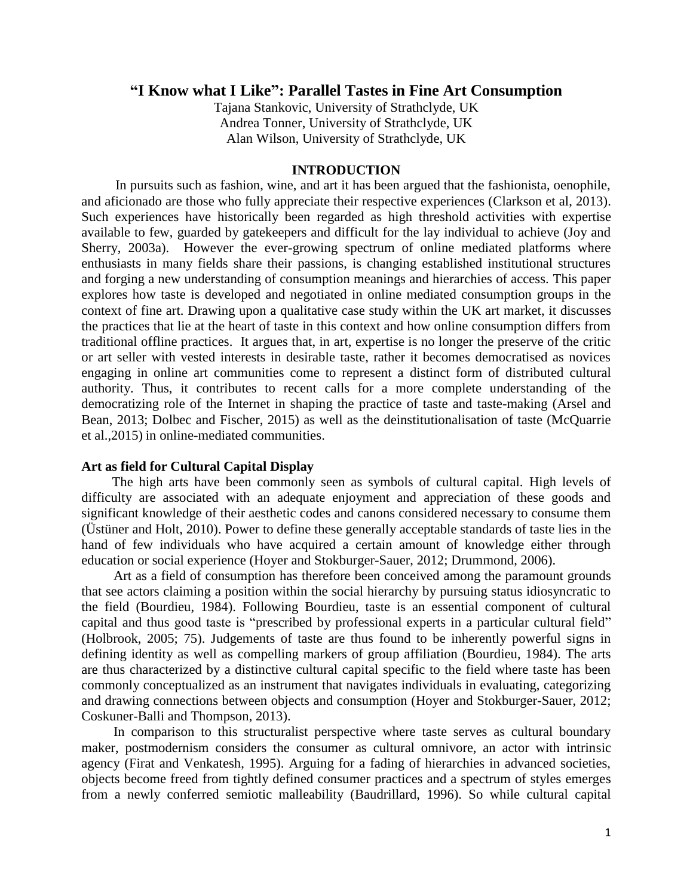## **"I Know what I Like": Parallel Tastes in Fine Art Consumption**

Tajana Stankovic, University of Strathclyde, UK Andrea Tonner, University of Strathclyde, UK Alan Wilson, University of Strathclyde, UK

## **INTRODUCTION**

 In pursuits such as fashion, wine, and art it has been argued that the fashionista, oenophile, and aficionado are those who fully appreciate their respective experiences (Clarkson et al, 2013). Such experiences have historically been regarded as high threshold activities with expertise available to few, guarded by gatekeepers and difficult for the lay individual to achieve (Joy and Sherry, 2003a). However the ever-growing spectrum of online mediated platforms where enthusiasts in many fields share their passions, is changing established institutional structures and forging a new understanding of consumption meanings and hierarchies of access. This paper explores how taste is developed and negotiated in online mediated consumption groups in the context of fine art. Drawing upon a qualitative case study within the UK art market, it discusses the practices that lie at the heart of taste in this context and how online consumption differs from traditional offline practices. It argues that, in art, expertise is no longer the preserve of the critic or art seller with vested interests in desirable taste, rather it becomes democratised as novices engaging in online art communities come to represent a distinct form of distributed cultural authority. Thus, it contributes to recent calls for a more complete understanding of the democratizing role of the Internet in shaping the practice of taste and taste-making (Arsel and Bean, 2013; Dolbec and Fischer, 2015) as well as the deinstitutionalisation of taste (McQuarrie et al.,2015) in online-mediated communities.

## **Art as field for Cultural Capital Display**

 The high arts have been commonly seen as symbols of cultural capital. High levels of difficulty are associated with an adequate enjoyment and appreciation of these goods and significant knowledge of their aesthetic codes and canons considered necessary to consume them (Üstüner and Holt, 2010). Power to define these generally acceptable standards of taste lies in the hand of few individuals who have acquired a certain amount of knowledge either through education or social experience (Hoyer and Stokburger-Sauer, 2012; Drummond, 2006).

Art as a field of consumption has therefore been conceived among the paramount grounds that see actors claiming a position within the social hierarchy by pursuing status idiosyncratic to the field (Bourdieu, 1984). Following Bourdieu, taste is an essential component of cultural capital and thus good taste is "prescribed by professional experts in a particular cultural field" (Holbrook, 2005; 75). Judgements of taste are thus found to be inherently powerful signs in defining identity as well as compelling markers of group affiliation (Bourdieu, 1984). The arts are thus characterized by a distinctive cultural capital specific to the field where taste has been commonly conceptualized as an instrument that navigates individuals in evaluating, categorizing and drawing connections between objects and consumption (Hoyer and Stokburger-Sauer, 2012; Coskuner-Balli and Thompson, 2013).

In comparison to this structuralist perspective where taste serves as cultural boundary maker, postmodernism considers the consumer as cultural omnivore, an actor with intrinsic agency (Firat and Venkatesh, 1995). Arguing for a fading of hierarchies in advanced societies, objects become freed from tightly defined consumer practices and a spectrum of styles emerges from a newly conferred semiotic malleability (Baudrillard, 1996). So while cultural capital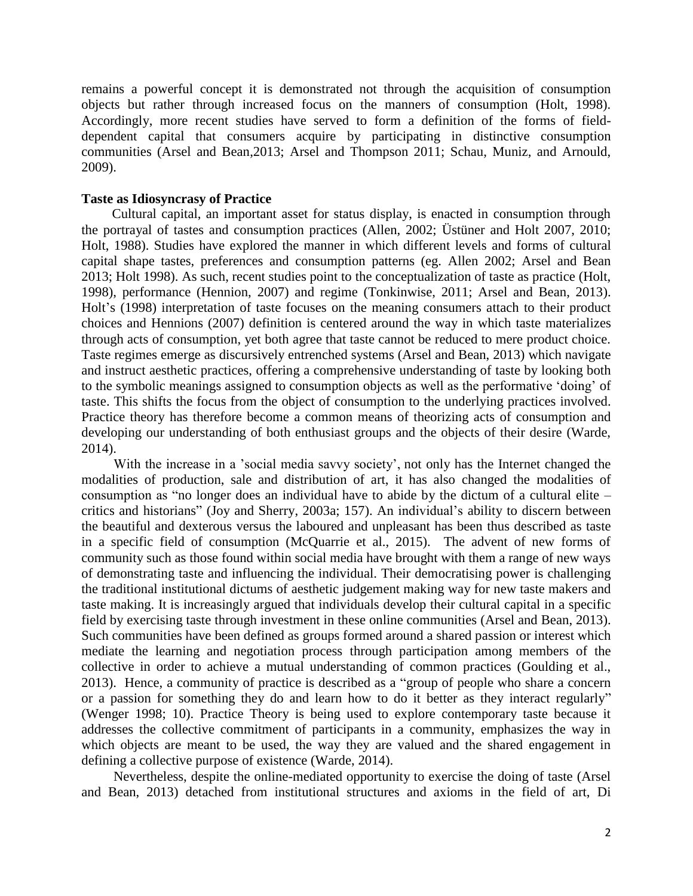remains a powerful concept it is demonstrated not through the acquisition of consumption objects but rather through increased focus on the manners of consumption (Holt, 1998). Accordingly, more recent studies have served to form a definition of the forms of fielddependent capital that consumers acquire by participating in distinctive consumption communities (Arsel and Bean,2013; Arsel and Thompson 2011; Schau, Muniz, and Arnould, 2009).

## **Taste as Idiosyncrasy of Practice**

Cultural capital, an important asset for status display, is enacted in consumption through the portrayal of tastes and consumption practices (Allen, 2002; Üstüner and Holt 2007, 2010; Holt, 1988). Studies have explored the manner in which different levels and forms of cultural capital shape tastes, preferences and consumption patterns (eg. Allen 2002; Arsel and Bean 2013; Holt 1998). As such, recent studies point to the conceptualization of taste as practice (Holt, 1998), performance (Hennion, 2007) and regime (Tonkinwise, 2011; Arsel and Bean, 2013). Holt's (1998) interpretation of taste focuses on the meaning consumers attach to their product choices and Hennions (2007) definition is centered around the way in which taste materializes through acts of consumption, yet both agree that taste cannot be reduced to mere product choice. Taste regimes emerge as discursively entrenched systems (Arsel and Bean, 2013) which navigate and instruct aesthetic practices, offering a comprehensive understanding of taste by looking both to the symbolic meanings assigned to consumption objects as well as the performative 'doing' of taste. This shifts the focus from the object of consumption to the underlying practices involved. Practice theory has therefore become a common means of theorizing acts of consumption and developing our understanding of both enthusiast groups and the objects of their desire (Warde, 2014).

With the increase in a 'social media savvy society', not only has the Internet changed the modalities of production, sale and distribution of art, it has also changed the modalities of consumption as "no longer does an individual have to abide by the dictum of a cultural elite – critics and historians" (Joy and Sherry, 2003a; 157). An individual's ability to discern between the beautiful and dexterous versus the laboured and unpleasant has been thus described as taste in a specific field of consumption (McQuarrie et al., 2015). The advent of new forms of community such as those found within social media have brought with them a range of new ways of demonstrating taste and influencing the individual. Their democratising power is challenging the traditional institutional dictums of aesthetic judgement making way for new taste makers and taste making. It is increasingly argued that individuals develop their cultural capital in a specific field by exercising taste through investment in these online communities (Arsel and Bean, 2013). Such communities have been defined as groups formed around a shared passion or interest which mediate the learning and negotiation process through participation among members of the collective in order to achieve a mutual understanding of common practices (Goulding et al., 2013). Hence, a community of practice is described as a "group of people who share a concern or a passion for something they do and learn how to do it better as they interact regularly" (Wenger 1998; 10). Practice Theory is being used to explore contemporary taste because it addresses the collective commitment of participants in a community, emphasizes the way in which objects are meant to be used, the way they are valued and the shared engagement in defining a collective purpose of existence (Warde, 2014).

Nevertheless, despite the online-mediated opportunity to exercise the doing of taste (Arsel and Bean, 2013) detached from institutional structures and axioms in the field of art, Di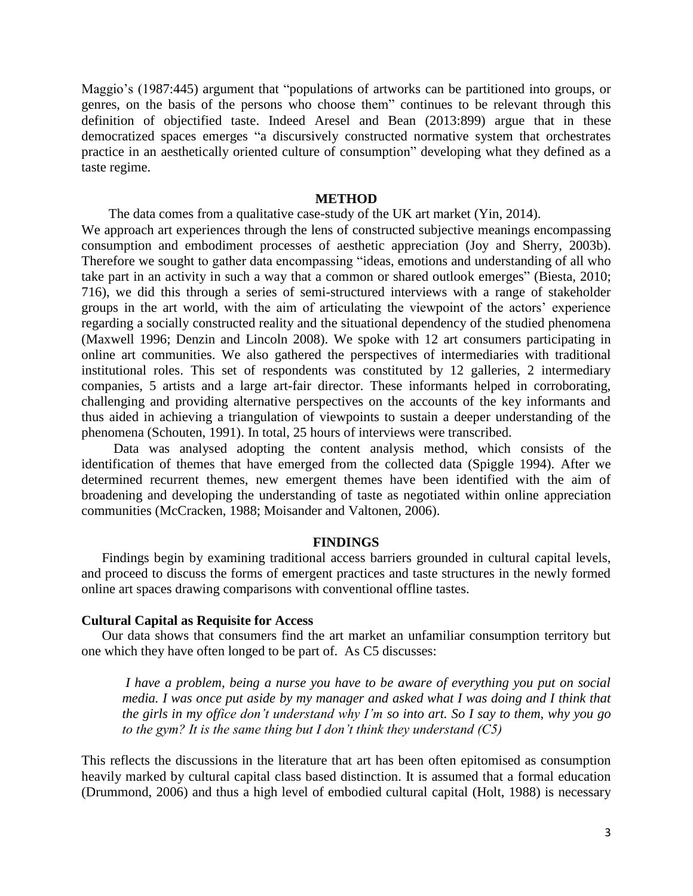Maggio's (1987:445) argument that "populations of artworks can be partitioned into groups, or genres, on the basis of the persons who choose them" continues to be relevant through this definition of objectified taste. Indeed Aresel and Bean (2013:899) argue that in these democratized spaces emerges "a discursively constructed normative system that orchestrates practice in an aesthetically oriented culture of consumption" developing what they defined as a taste regime.

## **METHOD**

 The data comes from a qualitative case-study of the UK art market (Yin, 2014). We approach art experiences through the lens of constructed subjective meanings encompassing consumption and embodiment processes of aesthetic appreciation (Joy and Sherry, 2003b). Therefore we sought to gather data encompassing "ideas, emotions and understanding of all who take part in an activity in such a way that a common or shared outlook emerges" (Biesta, 2010; 716), we did this through a series of semi-structured interviews with a range of stakeholder groups in the art world, with the aim of articulating the viewpoint of the actors' experience regarding a socially constructed reality and the situational dependency of the studied phenomena (Maxwell 1996; Denzin and Lincoln 2008). We spoke with 12 art consumers participating in online art communities. We also gathered the perspectives of intermediaries with traditional institutional roles. This set of respondents was constituted by 12 galleries, 2 intermediary companies, 5 artists and a large art-fair director. These informants helped in corroborating, challenging and providing alternative perspectives on the accounts of the key informants and thus aided in achieving a triangulation of viewpoints to sustain a deeper understanding of the phenomena (Schouten, 1991). In total, 25 hours of interviews were transcribed.

Data was analysed adopting the content analysis method, which consists of the identification of themes that have emerged from the collected data (Spiggle 1994). After we determined recurrent themes, new emergent themes have been identified with the aim of broadening and developing the understanding of taste as negotiated within online appreciation communities (McCracken, 1988; Moisander and Valtonen, 2006).

#### **FINDINGS**

Findings begin by examining traditional access barriers grounded in cultural capital levels, and proceed to discuss the forms of emergent practices and taste structures in the newly formed online art spaces drawing comparisons with conventional offline tastes.

#### **Cultural Capital as Requisite for Access**

Our data shows that consumers find the art market an unfamiliar consumption territory but one which they have often longed to be part of. As C5 discusses:

*I have a problem, being a nurse you have to be aware of everything you put on social media. I was once put aside by my manager and asked what I was doing and I think that the girls in my office don't understand why I'm so into art. So I say to them, why you go to the gym? It is the same thing but I don't think they understand (C5)*

This reflects the discussions in the literature that art has been often epitomised as consumption heavily marked by cultural capital class based distinction. It is assumed that a formal education (Drummond, 2006) and thus a high level of embodied cultural capital (Holt, 1988) is necessary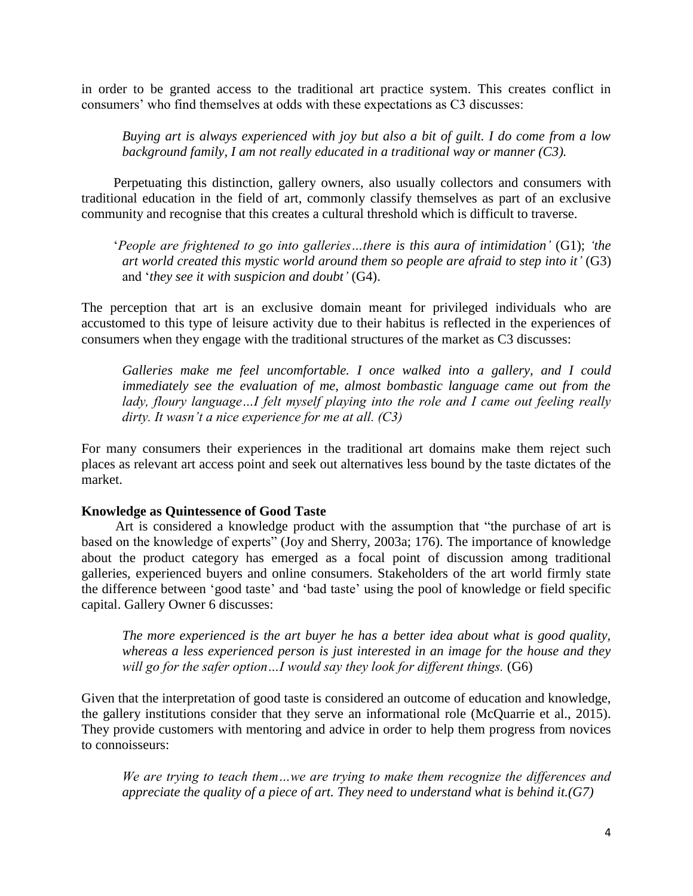in order to be granted access to the traditional art practice system. This creates conflict in consumers' who find themselves at odds with these expectations as C3 discusses:

*Buying art is always experienced with joy but also a bit of guilt. I do come from a low background family, I am not really educated in a traditional way or manner (C3).*

Perpetuating this distinction, gallery owners, also usually collectors and consumers with traditional education in the field of art, commonly classify themselves as part of an exclusive community and recognise that this creates a cultural threshold which is difficult to traverse.

'*People are frightened to go into galleries…there is this aura of intimidation'* (G1); *'the art world created this mystic world around them so people are afraid to step into it'* (G3) and '*they see it with suspicion and doubt'* (G4).

The perception that art is an exclusive domain meant for privileged individuals who are accustomed to this type of leisure activity due to their habitus is reflected in the experiences of consumers when they engage with the traditional structures of the market as C3 discusses:

*Galleries make me feel uncomfortable. I once walked into a gallery, and I could immediately see the evaluation of me, almost bombastic language came out from the lady, floury language…I felt myself playing into the role and I came out feeling really dirty. It wasn't a nice experience for me at all. (C3)*

For many consumers their experiences in the traditional art domains make them reject such places as relevant art access point and seek out alternatives less bound by the taste dictates of the market.

## **Knowledge as Quintessence of Good Taste**

Art is considered a knowledge product with the assumption that "the purchase of art is based on the knowledge of experts" (Joy and Sherry, 2003a; 176). The importance of knowledge about the product category has emerged as a focal point of discussion among traditional galleries, experienced buyers and online consumers. Stakeholders of the art world firmly state the difference between 'good taste' and 'bad taste' using the pool of knowledge or field specific capital. Gallery Owner 6 discusses:

*The more experienced is the art buyer he has a better idea about what is good quality, whereas a less experienced person is just interested in an image for the house and they will go for the safer option…I would say they look for different things.* (G6)

Given that the interpretation of good taste is considered an outcome of education and knowledge, the gallery institutions consider that they serve an informational role (McQuarrie et al., 2015). They provide customers with mentoring and advice in order to help them progress from novices to connoisseurs:

*We are trying to teach them…we are trying to make them recognize the differences and appreciate the quality of a piece of art. They need to understand what is behind it.(G7)*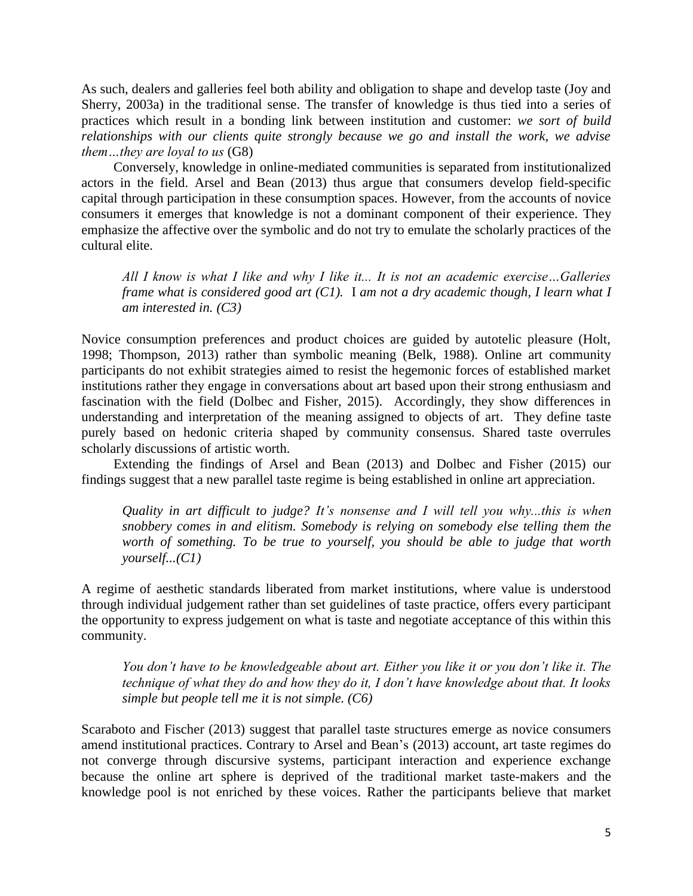As such, dealers and galleries feel both ability and obligation to shape and develop taste (Joy and Sherry, 2003a) in the traditional sense. The transfer of knowledge is thus tied into a series of practices which result in a bonding link between institution and customer: *we sort of build relationships with our clients quite strongly because we go and install the work, we advise them…they are loyal to us* (G8)

Conversely, knowledge in online-mediated communities is separated from institutionalized actors in the field. Arsel and Bean (2013) thus argue that consumers develop field-specific capital through participation in these consumption spaces. However, from the accounts of novice consumers it emerges that knowledge is not a dominant component of their experience. They emphasize the affective over the symbolic and do not try to emulate the scholarly practices of the cultural elite.

*All I know is what I like and why I like it... It is not an academic exercise…Galleries frame what is considered good art (C1).* I *am not a dry academic though, I learn what I am interested in. (C3)*

Novice consumption preferences and product choices are guided by autotelic pleasure (Holt, 1998; Thompson, 2013) rather than symbolic meaning (Belk, 1988). Online art community participants do not exhibit strategies aimed to resist the hegemonic forces of established market institutions rather they engage in conversations about art based upon their strong enthusiasm and fascination with the field (Dolbec and Fisher, 2015). Accordingly, they show differences in understanding and interpretation of the meaning assigned to objects of art. They define taste purely based on hedonic criteria shaped by community consensus. Shared taste overrules scholarly discussions of artistic worth.

Extending the findings of Arsel and Bean (2013) and Dolbec and Fisher (2015) our findings suggest that a new parallel taste regime is being established in online art appreciation.

*Quality in art difficult to judge? It's nonsense and I will tell you why...this is when snobbery comes in and elitism. Somebody is relying on somebody else telling them the worth of something. To be true to yourself, you should be able to judge that worth yourself...(C1)*

A regime of aesthetic standards liberated from market institutions, where value is understood through individual judgement rather than set guidelines of taste practice, offers every participant the opportunity to express judgement on what is taste and negotiate acceptance of this within this community.

*You don't have to be knowledgeable about art. Either you like it or you don't like it. The technique of what they do and how they do it, I don't have knowledge about that. It looks simple but people tell me it is not simple. (C6)*

Scaraboto and Fischer (2013) suggest that parallel taste structures emerge as novice consumers amend institutional practices. Contrary to Arsel and Bean's (2013) account, art taste regimes do not converge through discursive systems, participant interaction and experience exchange because the online art sphere is deprived of the traditional market taste-makers and the knowledge pool is not enriched by these voices. Rather the participants believe that market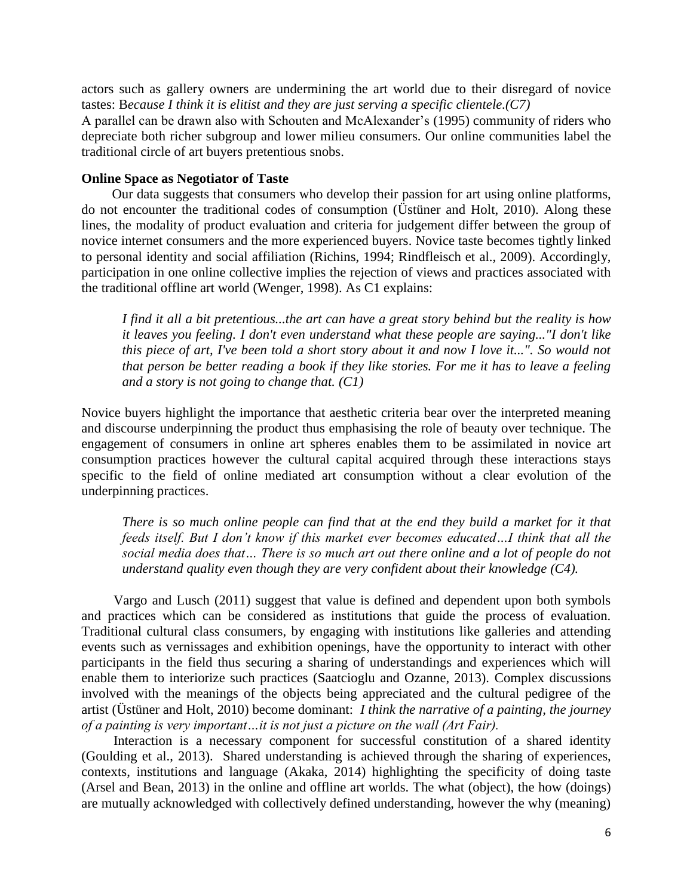actors such as gallery owners are undermining the art world due to their disregard of novice tastes: B*ecause I think it is elitist and they are just serving a specific clientele.(C7)*

A parallel can be drawn also with Schouten and McAlexander's (1995) community of riders who depreciate both richer subgroup and lower milieu consumers. Our online communities label the traditional circle of art buyers pretentious snobs.

#### **Online Space as Negotiator of Taste**

Our data suggests that consumers who develop their passion for art using online platforms, do not encounter the traditional codes of consumption (Üstüner and Holt, 2010). Along these lines, the modality of product evaluation and criteria for judgement differ between the group of novice internet consumers and the more experienced buyers. Novice taste becomes tightly linked to personal identity and social affiliation (Richins, 1994; Rindfleisch et al., 2009). Accordingly, participation in one online collective implies the rejection of views and practices associated with the traditional offline art world (Wenger, 1998). As C1 explains:

*I find it all a bit pretentious...the art can have a great story behind but the reality is how it leaves you feeling. I don't even understand what these people are saying..."I don't like this piece of art, I've been told a short story about it and now I love it...". So would not that person be better reading a book if they like stories. For me it has to leave a feeling and a story is not going to change that. (C1)*

Novice buyers highlight the importance that aesthetic criteria bear over the interpreted meaning and discourse underpinning the product thus emphasising the role of beauty over technique. The engagement of consumers in online art spheres enables them to be assimilated in novice art consumption practices however the cultural capital acquired through these interactions stays specific to the field of online mediated art consumption without a clear evolution of the underpinning practices.

*There is so much online people can find that at the end they build a market for it that feeds itself. But I don't know if this market ever becomes educated…I think that all the social media does that… There is so much art out there online and a lot of people do not understand quality even though they are very confident about their knowledge (C4).*

Vargo and Lusch (2011) suggest that value is defined and dependent upon both symbols and practices which can be considered as institutions that guide the process of evaluation. Traditional cultural class consumers, by engaging with institutions like galleries and attending events such as vernissages and exhibition openings, have the opportunity to interact with other participants in the field thus securing a sharing of understandings and experiences which will enable them to interiorize such practices (Saatcioglu and Ozanne, 2013). Complex discussions involved with the meanings of the objects being appreciated and the cultural pedigree of the artist (Üstüner and Holt, 2010) become dominant: *I think the narrative of a painting, the journey of a painting is very important…it is not just a picture on the wall (Art Fair).*

Interaction is a necessary component for successful constitution of a shared identity (Goulding et al., 2013). Shared understanding is achieved through the sharing of experiences, contexts, institutions and language (Akaka, 2014) highlighting the specificity of doing taste (Arsel and Bean, 2013) in the online and offline art worlds. The what (object), the how (doings) are mutually acknowledged with collectively defined understanding, however the why (meaning)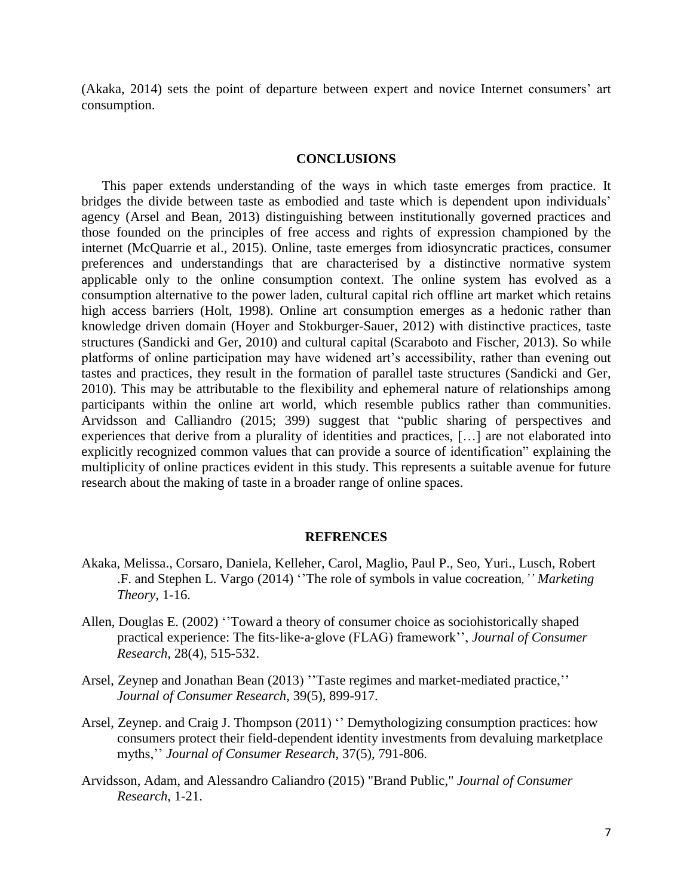(Akaka, 2014) sets the point of departure between expert and novice Internet consumers' art consumption.

#### **CONCLUSIONS**

 This paper extends understanding of the ways in which taste emerges from practice. It bridges the divide between taste as embodied and taste which is dependent upon individuals' agency (Arsel and Bean, 2013) distinguishing between institutionally governed practices and those founded on the principles of free access and rights of expression championed by the internet (McQuarrie et al., 2015). Online, taste emerges from idiosyncratic practices, consumer preferences and understandings that are characterised by a distinctive normative system applicable only to the online consumption context. The online system has evolved as a consumption alternative to the power laden, cultural capital rich offline art market which retains high access barriers (Holt, 1998). Online art consumption emerges as a hedonic rather than knowledge driven domain (Hoyer and Stokburger-Sauer, 2012) with distinctive practices, taste structures (Sandicki and Ger, 2010) and cultural capital (Scaraboto and Fischer, 2013). So while platforms of online participation may have widened art's accessibility, rather than evening out tastes and practices, they result in the formation of parallel taste structures (Sandicki and Ger, 2010). This may be attributable to the flexibility and ephemeral nature of relationships among participants within the online art world, which resemble publics rather than communities. Arvidsson and Calliandro (2015; 399) suggest that "public sharing of perspectives and experiences that derive from a plurality of identities and practices, […] are not elaborated into explicitly recognized common values that can provide a source of identification" explaining the multiplicity of online practices evident in this study. This represents a suitable avenue for future research about the making of taste in a broader range of online spaces.

#### **REFRENCES**

- Akaka, Melissa., Corsaro, Daniela, Kelleher, Carol, Maglio, Paul P., Seo, Yuri., Lusch, Robert .F. and Stephen L. Vargo (2014) ''The role of symbols in value cocreation*,'' Marketing Theory*, 1-16.
- Allen, Douglas E. (2002) ''Toward a theory of consumer choice as sociohistorically shaped practical experience: The fits‐like‐a‐glove (FLAG) framework'', *Journal of Consumer Research*, 28(4), 515-532.
- Arsel, Zeynep and Jonathan Bean (2013) ''Taste regimes and market-mediated practice,'' *Journal of Consumer Research*, 39(5), 899-917.
- Arsel, Zeynep. and Craig J. Thompson (2011) " Demythologizing consumption practices: how consumers protect their field-dependent identity investments from devaluing marketplace myths,'' *Journal of Consumer Research*, 37(5), 791-806.
- Arvidsson, Adam, and Alessandro Caliandro (2015) "Brand Public," *Journal of Consumer Research*, 1-21.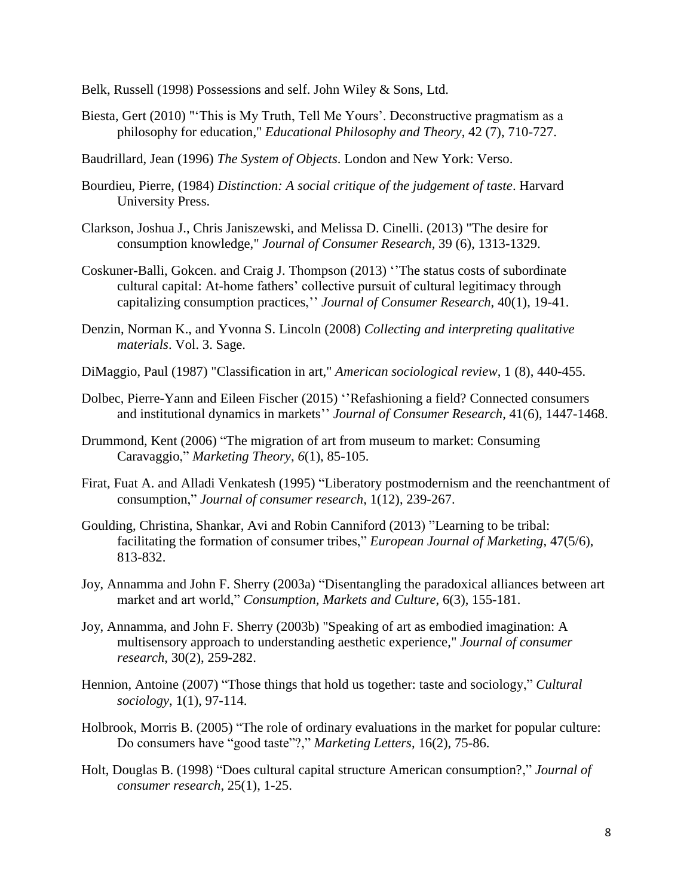- Belk, Russell (1998) Possessions and self. John Wiley & Sons, Ltd.
- Biesta, Gert (2010) "'This is My Truth, Tell Me Yours'. Deconstructive pragmatism as a philosophy for education," *Educational Philosophy and Theory*, 42 (7), 710-727.
- Baudrillard, Jean (1996) *The System of Objects*. London and New York: Verso.
- Bourdieu, Pierre, (1984) *Distinction: A social critique of the judgement of taste*. Harvard University Press.
- Clarkson, Joshua J., Chris Janiszewski, and Melissa D. Cinelli. (2013) "The desire for consumption knowledge," *Journal of Consumer Research,* 39 (6), 1313-1329.
- Coskuner-Balli, Gokcen. and Craig J. Thompson (2013) ''The status costs of subordinate cultural capital: At-home fathers' collective pursuit of cultural legitimacy through capitalizing consumption practices,'' *Journal of Consumer Research*, 40(1), 19-41.
- Denzin, Norman K., and Yvonna S. Lincoln (2008) *Collecting and interpreting qualitative materials*. Vol. 3. Sage.
- DiMaggio, Paul (1987) "Classification in art," *American sociological review*, 1 (8), 440-455.
- Dolbec, Pierre-Yann and Eileen Fischer (2015) ''Refashioning a field? Connected consumers and institutional dynamics in markets'' *Journal of Consumer Research*, 41(6), 1447-1468.
- Drummond, Kent (2006) "The migration of art from museum to market: Consuming Caravaggio," *Marketing Theory*, *6*(1), 85-105.
- Firat, Fuat A. and Alladi Venkatesh (1995) "Liberatory postmodernism and the reenchantment of consumption," *Journal of consumer research*, 1(12), 239-267.
- Goulding, Christina, Shankar, Avi and Robin Canniford (2013) "Learning to be tribal: facilitating the formation of consumer tribes," *European Journal of Marketing*, 47(5/6), 813-832.
- Joy, Annamma and John F. Sherry (2003a) "Disentangling the paradoxical alliances between art market and art world," *Consumption, Markets and Culture*, 6(3), 155-181.
- Joy, Annamma, and John F. Sherry (2003b) "Speaking of art as embodied imagination: A multisensory approach to understanding aesthetic experience," *Journal of consumer research*, 30(2), 259-282.
- Hennion, Antoine (2007) "Those things that hold us together: taste and sociology," *Cultural sociology*, 1(1), 97-114.
- Holbrook, Morris B. (2005) "The role of ordinary evaluations in the market for popular culture: Do consumers have "good taste"?," *Marketing Letters*, 16(2), 75-86.
- Holt, Douglas B. (1998) "Does cultural capital structure American consumption?," *Journal of consumer research*, 25(1), 1-25.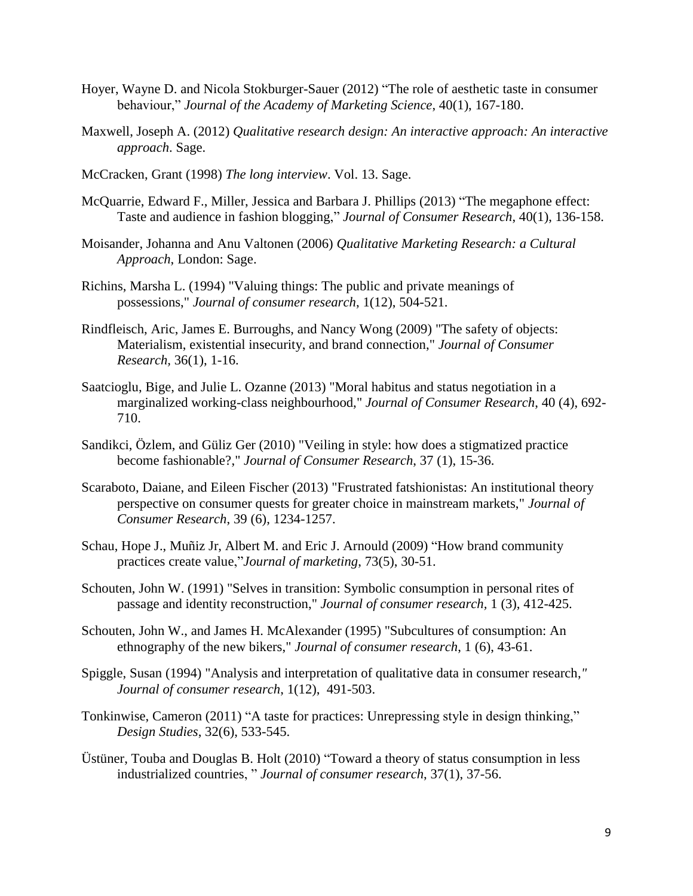- Hoyer, Wayne D. and Nicola Stokburger-Sauer (2012) "The role of aesthetic taste in consumer behaviour," *Journal of the Academy of Marketing Science*, 40(1), 167-180.
- Maxwell, Joseph A. (2012) *Qualitative research design: An interactive approach: An interactive approach*. Sage.
- McCracken, Grant (1998) *The long interview*. Vol. 13. Sage.
- McQuarrie, Edward F., Miller, Jessica and Barbara J. Phillips (2013) "The megaphone effect: Taste and audience in fashion blogging," *Journal of Consumer Research*, 40(1), 136-158.
- Moisander, Johanna and Anu Valtonen (2006) *Qualitative Marketing Research: a Cultural Approach*, London: Sage.
- Richins, Marsha L. (1994) "Valuing things: The public and private meanings of possessions," *Journal of consumer research*, 1(12), 504-521.
- Rindfleisch, Aric, James E. Burroughs, and Nancy Wong (2009) "The safety of objects: Materialism, existential insecurity, and brand connection," *Journal of Consumer Research,* 36(1), 1-16.
- Saatcioglu, Bige, and Julie L. Ozanne (2013) "Moral habitus and status negotiation in a marginalized working-class neighbourhood," *Journal of Consumer Research*, 40 (4), 692- 710.
- Sandikci, Özlem, and Güliz Ger (2010) "Veiling in style: how does a stigmatized practice become fashionable?," *Journal of Consumer Research*, 37 (1), 15-36.
- Scaraboto, Daiane, and Eileen Fischer (2013) "Frustrated fatshionistas: An institutional theory perspective on consumer quests for greater choice in mainstream markets," *Journal of Consumer Research*, 39 (6), 1234-1257.
- Schau, Hope J., Muñiz Jr, Albert M. and Eric J. Arnould (2009) "How brand community practices create value,"*Journal of marketing*, 73(5), 30-51.
- Schouten, John W. (1991) "Selves in transition: Symbolic consumption in personal rites of passage and identity reconstruction," *Journal of consumer research,* 1 (3), 412-425.
- Schouten, John W., and James H. McAlexander (1995) "Subcultures of consumption: An ethnography of the new bikers," *Journal of consumer research*, 1 (6), 43-61.
- Spiggle, Susan (1994) "Analysis and interpretation of qualitative data in consumer research,*" Journal of consumer research*, 1(12), 491-503.
- Tonkinwise, Cameron (2011) "A taste for practices: Unrepressing style in design thinking," *Design Studies*, 32(6), 533-545.
- Üstüner, Touba and Douglas B. Holt (2010) "Toward a theory of status consumption in less industrialized countries, " *Journal of consumer research*, 37(1), 37-56.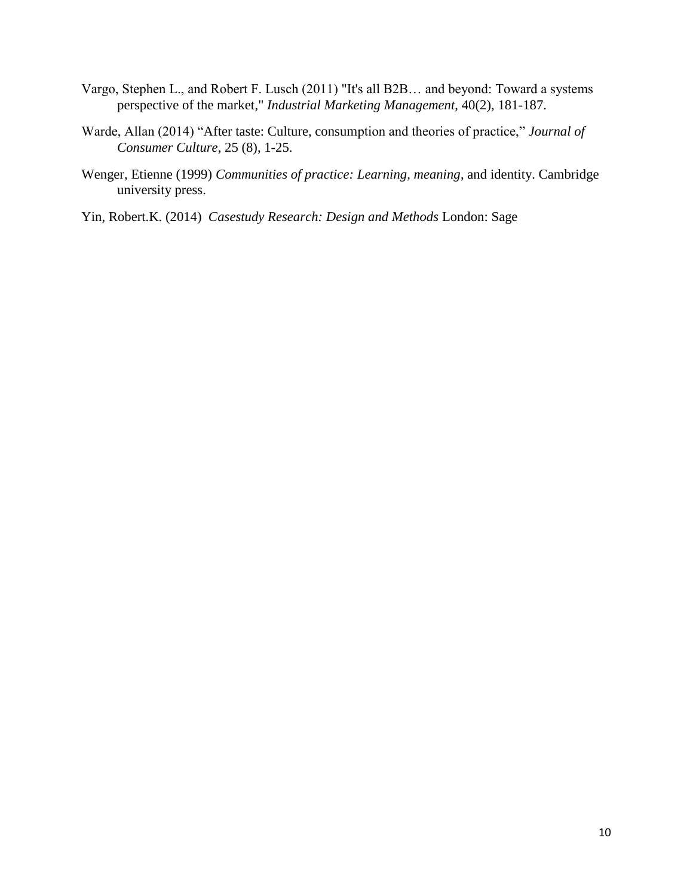- Vargo, Stephen L., and Robert F. Lusch (2011) "It's all B2B… and beyond: Toward a systems perspective of the market," *Industrial Marketing Management*, 40(2), 181-187.
- Warde, Allan (2014) "After taste: Culture, consumption and theories of practice," *Journal of Consumer Culture*, 25 (8), 1-25.
- Wenger, Etienne (1999) *Communities of practice: Learning, meaning*, and identity. Cambridge university press.
- Yin, Robert.K. (2014) *Casestudy Research: Design and Methods* London: Sage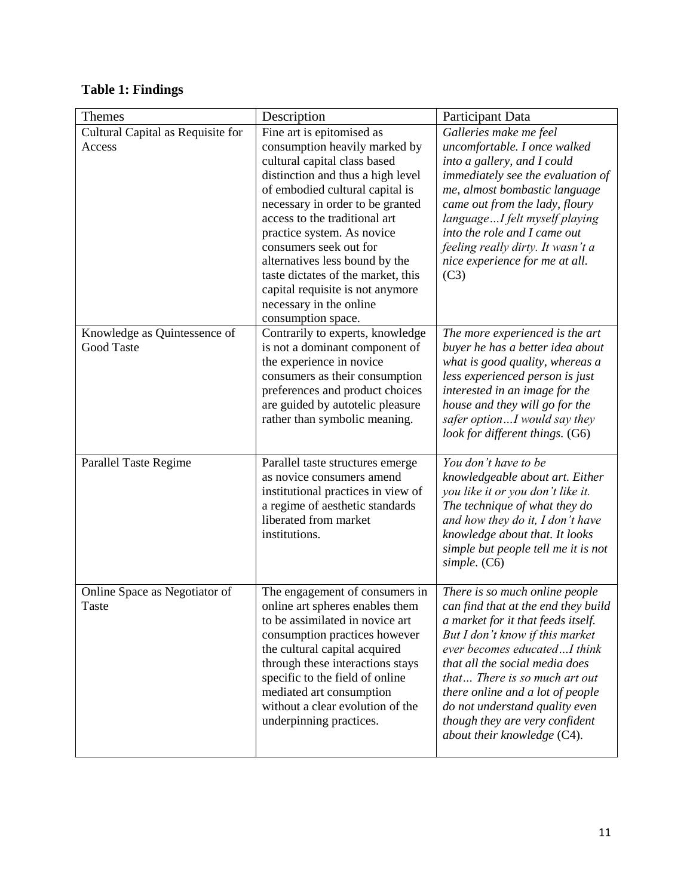| <b>Table 1: Findings</b> |  |  |
|--------------------------|--|--|
|                          |  |  |

| Themes                                 | Description                                                                                                                                                                                                                                                                                                                                                                                               | Participant Data                                                                                                                                                                                                                                                                                                                                                                         |  |
|----------------------------------------|-----------------------------------------------------------------------------------------------------------------------------------------------------------------------------------------------------------------------------------------------------------------------------------------------------------------------------------------------------------------------------------------------------------|------------------------------------------------------------------------------------------------------------------------------------------------------------------------------------------------------------------------------------------------------------------------------------------------------------------------------------------------------------------------------------------|--|
| Cultural Capital as Requisite for      | Fine art is epitomised as                                                                                                                                                                                                                                                                                                                                                                                 | Galleries make me feel                                                                                                                                                                                                                                                                                                                                                                   |  |
| Access                                 | consumption heavily marked by<br>cultural capital class based<br>distinction and thus a high level<br>of embodied cultural capital is<br>necessary in order to be granted<br>access to the traditional art<br>practice system. As novice<br>consumers seek out for<br>alternatives less bound by the<br>taste dictates of the market, this<br>capital requisite is not anymore<br>necessary in the online | uncomfortable. I once walked<br>into a gallery, and I could<br>immediately see the evaluation of<br>me, almost bombastic language<br>came out from the lady, floury<br>languageI felt myself playing<br>into the role and I came out<br>feeling really dirty. It wasn't a<br>nice experience for me at all.<br>(C3)                                                                      |  |
| Knowledge as Quintessence of           | consumption space.<br>Contrarily to experts, knowledge                                                                                                                                                                                                                                                                                                                                                    | The more experienced is the art                                                                                                                                                                                                                                                                                                                                                          |  |
| Good Taste                             | is not a dominant component of<br>the experience in novice<br>consumers as their consumption<br>preferences and product choices<br>are guided by autotelic pleasure<br>rather than symbolic meaning.                                                                                                                                                                                                      | buyer he has a better idea about<br>what is good quality, whereas a<br>less experienced person is just<br>interested in an image for the<br>house and they will go for the<br>safer optionI would say they<br>look for different things. (G6)                                                                                                                                            |  |
| <b>Parallel Taste Regime</b>           | Parallel taste structures emerge<br>as novice consumers amend<br>institutional practices in view of<br>a regime of aesthetic standards<br>liberated from market<br>institutions.                                                                                                                                                                                                                          | You don't have to be<br>knowledgeable about art. Either<br>you like it or you don't like it.<br>The technique of what they do<br>and how they do it, I don't have<br>knowledge about that. It looks<br>simple but people tell me it is not<br>simple. (C6)                                                                                                                               |  |
| Online Space as Negotiator of<br>Taste | The engagement of consumers in<br>online art spheres enables them<br>to be assimilated in novice art<br>consumption practices however<br>the cultural capital acquired<br>through these interactions stays<br>specific to the field of online<br>mediated art consumption<br>without a clear evolution of the<br>underpinning practices.                                                                  | There is so much online people<br>can find that at the end they build<br>a market for it that feeds itself.<br>But I don't know if this market<br>ever becomes educatedI think<br>that all the social media does<br>that There is so much art out<br>there online and a lot of people<br>do not understand quality even<br>though they are very confident<br>about their knowledge (C4). |  |